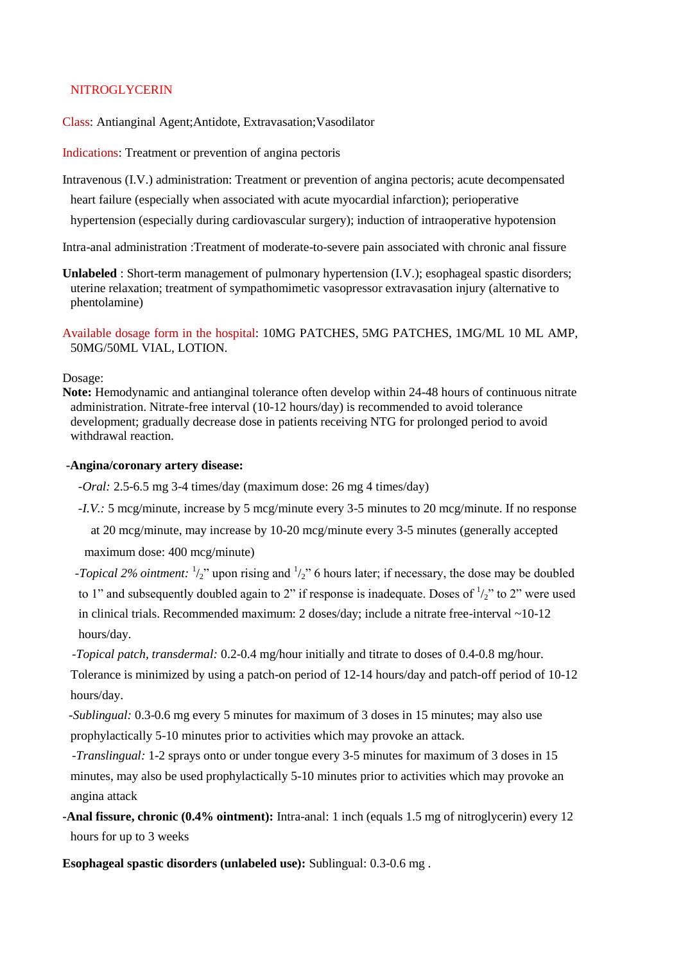## **NITROGLYCERIN**

Class: Antianginal Agent;Antidote, Extravasation;Vasodilator

Indications: Treatment or prevention of angina pectoris

Intravenous (I.V.) administration: Treatment or prevention of angina pectoris; acute decompensated

heart failure (especially when associated with acute myocardial infarction); perioperative

hypertension (especially during cardiovascular surgery); induction of intraoperative hypotension

Intra-anal administration :Treatment of moderate-to-severe pain associated with chronic anal fissure

**Unlabeled** : Short-term management of pulmonary hypertension (I.V.); esophageal spastic disorders; uterine relaxation; treatment of sympathomimetic vasopressor extravasation injury (alternative to phentolamine)

Available dosage form in the hospital: 10MG PATCHES, 5MG PATCHES, 1MG/ML 10 ML AMP, 50MG/50ML VIAL, LOTION.

### Dosage:

**Note:** Hemodynamic and antianginal tolerance often develop within 24-48 hours of continuous nitrate administration. Nitrate-free interval (10-12 hours/day) is recommended to avoid tolerance development; gradually decrease dose in patients receiving NTG for prolonged period to avoid withdrawal reaction.

#### **-Angina/coronary artery disease:**

 *-Oral:* 2.5-6.5 mg 3-4 times/day (maximum dose: 26 mg 4 times/day)

*-I.V.: 5 mcg/minute, increase by 5 mcg/minute every 3-5 minutes to 20 mcg/minute. If no response* 

at 20 mcg/minute, may increase by 10-20 mcg/minute every 3-5 minutes (generally accepted

maximum dose: 400 mcg/minute)

*-Topical 2% ointment:*  $\frac{1}{2}$ " upon rising and  $\frac{1}{2}$ " 6 hours later; if necessary, the dose may be doubled to 1" and subsequently doubled again to 2" if response is inadequate. Doses of  $\frac{1}{2}$ " to 2" were used in clinical trials. Recommended maximum: 2 doses/day; include a nitrate free-interval ~10-12 hours/day.

 *-Topical patch, transdermal:* 0.2-0.4 mg/hour initially and titrate to doses of 0.4-0.8 mg/hour.

Tolerance is minimized by using a patch-on period of 12-14 hours/day and patch-off period of 10-12 hours/day.

 *-Sublingual:* 0.3-0.6 mg every 5 minutes for maximum of 3 doses in 15 minutes; may also use prophylactically 5-10 minutes prior to activities which may provoke an attack.

 *-Translingual:* 1-2 sprays onto or under tongue every 3-5 minutes for maximum of 3 doses in 15 minutes, may also be used prophylactically 5-10 minutes prior to activities which may provoke an angina attack

**-Anal fissure, chronic (0.4% ointment):** Intra-anal: 1 inch (equals 1.5 mg of nitroglycerin) every 12 hours for up to 3 weeks

**Esophageal spastic disorders (unlabeled use):** Sublingual: 0.3-0.6 mg .